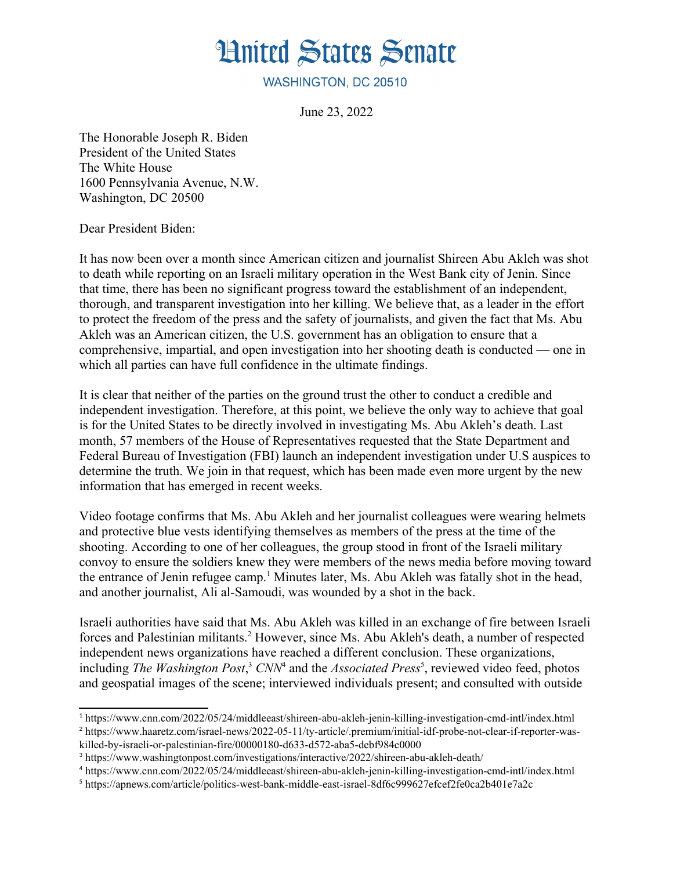

WASHINGTON, DC 20510

June 23, 2022

The Honorable Joseph R. Biden President of the United States The White House 1600 Pennsylvania Avenue, N.W. Washington, DC 20500

Dear President Biden:

It has now been over a month since American citizen and journalist Shireen Abu Akleh was shot to death while reporting on an Israeli military operation in the West Bank city of Jenin. Since that time, there has been no significant progress toward the establishment of an independent, thorough, and transparent investigation into her killing. We believe that, as a leader in the effort to protect the freedom of the press and the safety of journalists, and given the fact that Ms. Abu Akleh was an American citizen, the U.S. government has an obligation to ensure that a comprehensive, impartial, and open investigation into her shooting death is conducted — one in which all parties can have full confidence in the ultimate findings.

It is clear that neither of the parties on the ground trust the other to conduct a credible and independent investigation. Therefore, at this point, we believe the only way to achieve that goal is for the United States to be directly involved in investigating Ms. Abu Akleh's death. Last month, 57 members of the House of Representatives requested that the State Department and Federal Bureau of Investigation (FBI) launch an independent investigation under U.S auspices to determine the truth. We join in that request, which has been made even more urgent by the new information that has emerged in recent weeks.

Video footage confirms that Ms. Abu Akleh and her journalist colleagues were wearing helmets and protective blue vests identifying themselves as members of the press at the time of the shooting. According to one of her colleagues, the group stood in front of the Israeli military convoy to ensure the soldiers knew they were members of the news media before moving toward the entrance of Jenin refugee camp.<sup>[1](#page-0-1)</sup> Minutes later, Ms. Abu Akleh was fatally shot in the head, and another journalist, Ali al-Samoudi, was wounded by a shot in the back.

<span id="page-0-8"></span><span id="page-0-6"></span><span id="page-0-4"></span><span id="page-0-2"></span><span id="page-0-0"></span>Israeli authorities have said that Ms. Abu Akleh was killed in an exchange of fire between Israeli forces and Palestinian militants.<sup>[2](#page-0-3)</sup> However, since Ms. Abu Akleh's death, a number of respected independent news organizations have reached a different conclusion. These organizations, including *The Washington Post*,<sup>[3](#page-0-5)</sup> *CNN*<sup>[4](#page-0-7)</sup> and the *Associated Press*<sup>[5](#page-0-9)</sup>, reviewed video feed, photos and geospatial images of the scene; interviewed individuals present; and consulted with outside

<span id="page-0-1"></span>[<sup>1</sup>](#page-0-0) https://www.cnn.com/2022/05/24/middleeast/shireen-abu-akleh-jenin-killing-investigation-cmd-intl/index.html

<span id="page-0-3"></span>[<sup>2</sup>](#page-0-2) https://www.haaretz.com/israel-news/2022-05-11/ty-article/.premium/initial-idf-probe-not-clear-if-reporter-was-

killed-by-israeli-or-palestinian-fire/00000180-d633-d572-aba5-debf984c0000

<span id="page-0-5"></span>[<sup>3</sup>](#page-0-4) https://www.washingtonpost.com/investigations/interactive/2022/shireen-abu-akleh-death/

<span id="page-0-7"></span>[<sup>4</sup>](#page-0-6) https://www.cnn.com/2022/05/24/middleeast/shireen-abu-akleh-jenin-killing-investigation-cmd-intl/index.html

<span id="page-0-9"></span>[<sup>5</sup>](#page-0-8) https://apnews.com/article/politics-west-bank-middle-east-israel-8df6c999627efcef2fe0ca2b401e7a2c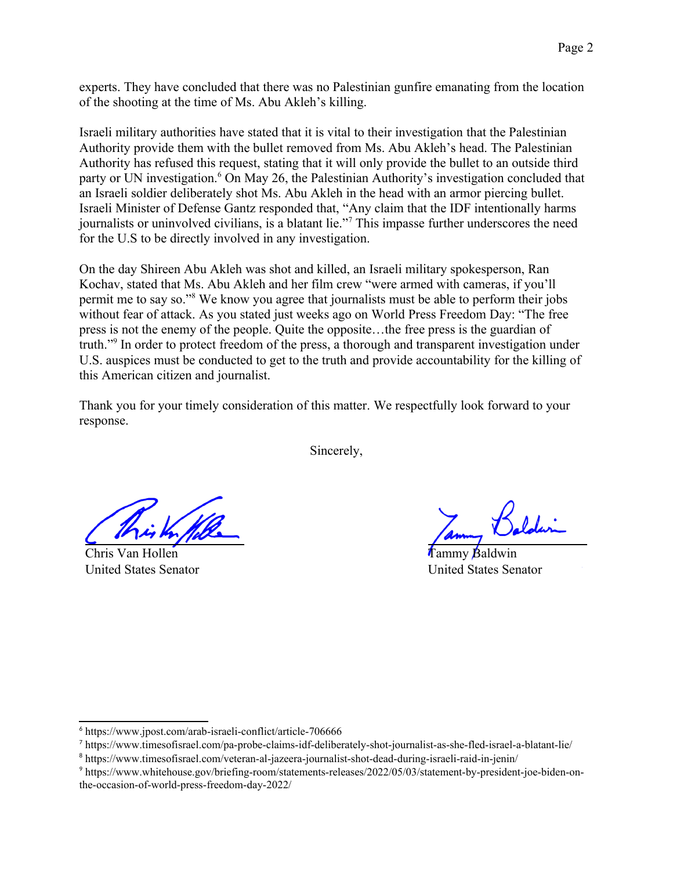experts. They have concluded that there was no Palestinian gunfire emanating from the location of the shooting at the time of Ms. Abu Akleh's killing.

<span id="page-1-0"></span>Israeli military authorities have stated that it is vital to their investigation that the Palestinian Authority provide them with the bullet removed from Ms. Abu Akleh's head. The Palestinian Authority has refused this request, stating that it will only provide the bullet to an outside third party or UN investigation.<sup>[6](#page-1-1)</sup> On May 26, the Palestinian Authority's investigation concluded that an Israeli soldier deliberately shot Ms. Abu Akleh in the head with an armor piercing bullet. Israeli Minister of Defense Gantz responded that, "Any claim that the IDF intentionally harms iournalists or uninvolved civilians, is a blatant lie."<sup>[7](#page-1-3)</sup> This impasse further underscores the need for the U.S to be directly involved in any investigation.

<span id="page-1-4"></span>On the day Shireen Abu Akleh was shot and killed, an Israeli military spokesperson, Ran Kochav, stated that Ms. Abu Akleh and her film crew "were armed with cameras, if you'll permit me to say so."<sup>[8](#page-1-5)</sup> We know you agree that journalists must be able to perform their jobs without fear of attack. As you stated just weeks ago on World Press Freedom Day: "The free press is not the enemy of the people. Quite the opposite…the free press is the guardian of truth."[9](#page-1-7) In order to protect freedom of the press, a thorough and transparent investigation under U.S. auspices must be conducted to get to the truth and provide accountability for the killing of this American citizen and journalist.

<span id="page-1-6"></span>Thank you for your timely consideration of this matter. We respectfully look forward to your response.

<span id="page-1-2"></span>Sincerely,

Chris Van Hollen United States Senator

Tammy Baldwin United States Senator

<span id="page-1-1"></span>[<sup>6</sup>](#page-1-0) https://www.jpost.com/arab-israeli-conflict/article-706666

<span id="page-1-3"></span>[<sup>7</sup>](#page-1-2) https://www.timesofisrael.com/pa-probe-claims-idf-deliberately-shot-journalist-as-she-fled-israel-a-blatant-lie/

<span id="page-1-5"></span>[<sup>8</sup>](#page-1-4) https://www.timesofisrael.com/veteran-al-jazeera-journalist-shot-dead-during-israeli-raid-in-jenin/

<span id="page-1-7"></span>[<sup>9</sup>](#page-1-6) https://www.whitehouse.gov/briefing-room/statements-releases/2022/05/03/statement-by-president-joe-biden-onthe-occasion-of-world-press-freedom-day-2022/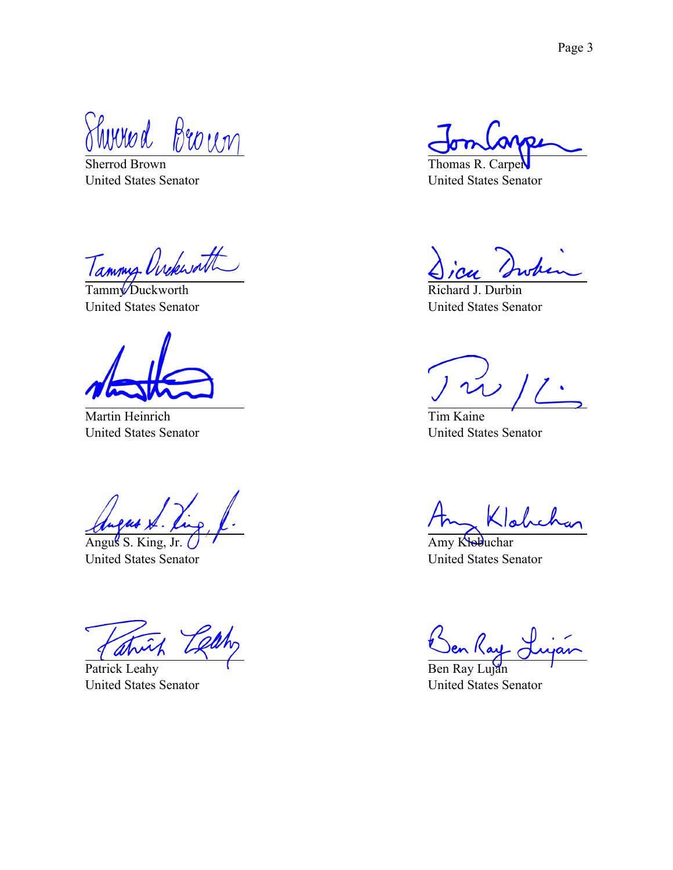Thomad Brown

Sherrod Brown United States Senator

Tammy Ovekworth

United States Senator

Martin Heinrich United States Senator

Angus S. King, Jr. United States Senator

Patrick Leahy United States Senator

Thomas R. Carper United States Senator

Richard J. Durbin United States Senator

Tim Kaine United States Senator

Klahch

Amy Klobuchar United States Senator

en Ray

Ben Ray Luján United States Senator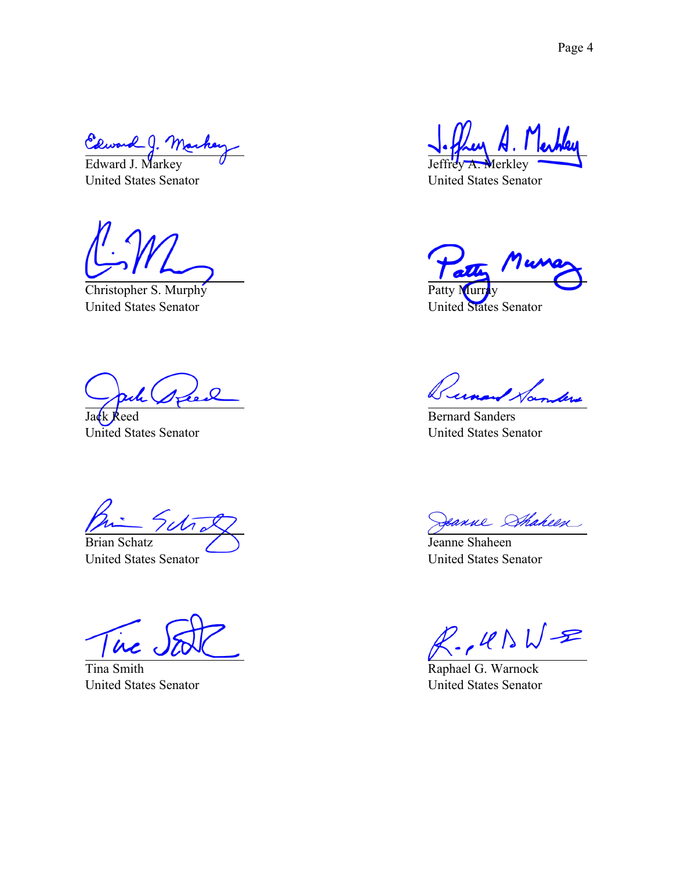Edward J. Mar<br>Edward J. Markey

United States Senator

Christopher S. Murphy United States Senator

 $\Omega$ 

Jack Reed United States Senator

Sctro

Brian Schatz United States Senator

in

Tina Smith United States Senator

Jeffrey A. Merkley

United States Senator

Patty Murr United States Senator

Bernard Sanders United States Senator

Sanne Shaheen

Jeanne Shaheen United States Senator

 $R.$ ,  $R$   $N+2$ 

Raphael G. Warnock United States Senator